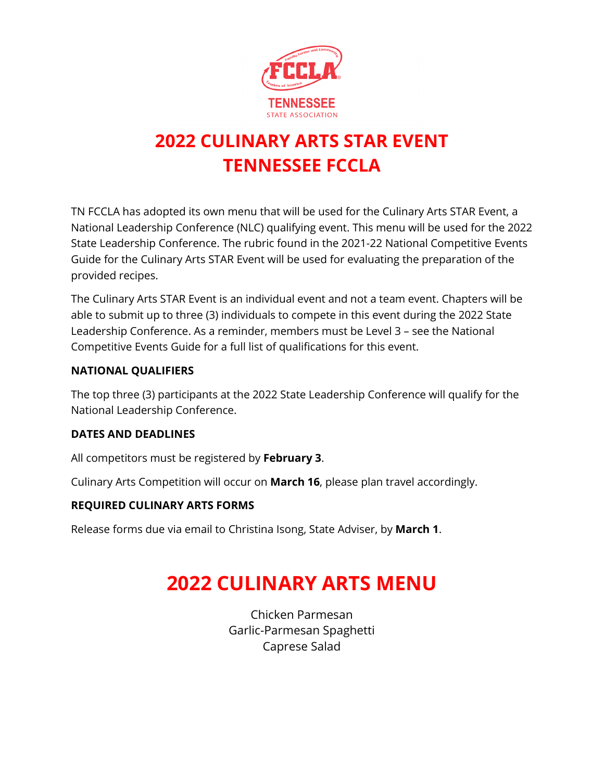

## **2022 CULINARY ARTS STAR EVENT TENNESSEE FCCLA**

TN FCCLA has adopted its own menu that will be used for the Culinary Arts STAR Event, a National Leadership Conference (NLC) qualifying event. This menu will be used for the 2022 State Leadership Conference. The rubric found in the 2021-22 National Competitive Events Guide for the Culinary Arts STAR Event will be used for evaluating the preparation of the provided recipes.

The Culinary Arts STAR Event is an individual event and not a team event. Chapters will be able to submit up to three (3) individuals to compete in this event during the 2022 State Leadership Conference. As a reminder, members must be Level 3 – see the National Competitive Events Guide for a full list of qualifications for this event.

### **NATIONAL QUALIFIERS**

The top three (3) participants at the 2022 State Leadership Conference will qualify for the National Leadership Conference.

### **DATES AND DEADLINES**

All competitors must be registered by **February 3**.

Culinary Arts Competition will occur on **March 16**, please plan travel accordingly.

### **REQUIRED CULINARY ARTS FORMS**

Release forms due via email to Christina Isong, State Adviser, by **March 1**.

# **2022 CULINARY ARTS MENU**

Chicken Parmesan Garlic-Parmesan Spaghetti Caprese Salad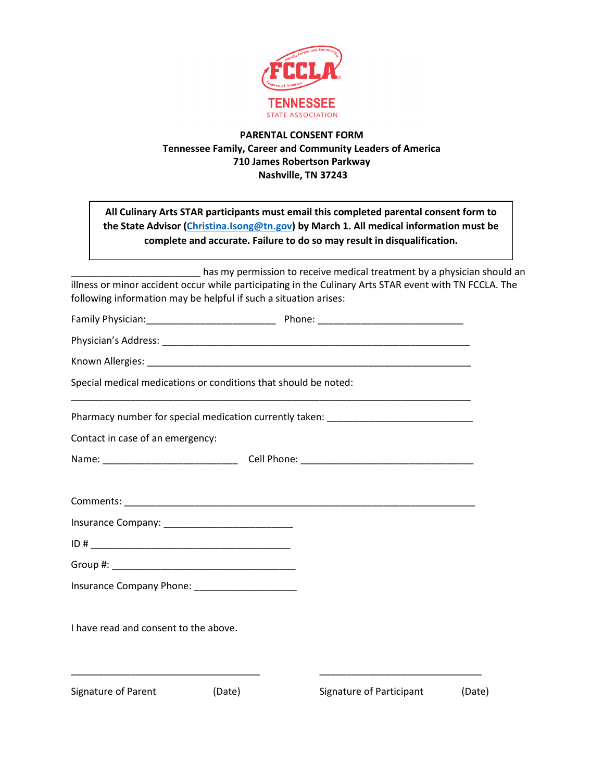

#### **PARENTAL CONSENT FORM Tennessee Family, Career and Community Leaders of America 710 James Robertson Parkway Nashville, TN 37243**

| All Culinary Arts STAR participants must email this completed parental consent form to<br>the State Advisor (Christina.Isong@tn.gov) by March 1. All medical information must be                                               | complete and accurate. Failure to do so may result in disqualification. |        |
|--------------------------------------------------------------------------------------------------------------------------------------------------------------------------------------------------------------------------------|-------------------------------------------------------------------------|--------|
| illness or minor accident occur while participating in the Culinary Arts STAR event with TN FCCLA. The<br>following information may be helpful if such a situation arises:                                                     | has my permission to receive medical treatment by a physician should an |        |
|                                                                                                                                                                                                                                |                                                                         |        |
|                                                                                                                                                                                                                                |                                                                         |        |
|                                                                                                                                                                                                                                |                                                                         |        |
| Special medical medications or conditions that should be noted:                                                                                                                                                                |                                                                         |        |
| Pharmacy number for special medication currently taken: ________________________                                                                                                                                               |                                                                         |        |
| Contact in case of an emergency:                                                                                                                                                                                               |                                                                         |        |
|                                                                                                                                                                                                                                |                                                                         |        |
|                                                                                                                                                                                                                                |                                                                         |        |
|                                                                                                                                                                                                                                |                                                                         |        |
|                                                                                                                                                                                                                                |                                                                         |        |
| Group #: the contract of the contract of the contract of the contract of the contract of the contract of the contract of the contract of the contract of the contract of the contract of the contract of the contract of the c |                                                                         |        |
| Insurance Company Phone: _______________________                                                                                                                                                                               |                                                                         |        |
| I have read and consent to the above.                                                                                                                                                                                          |                                                                         |        |
| Signature of Parent<br>(Date)                                                                                                                                                                                                  | Signature of Participant                                                | (Date) |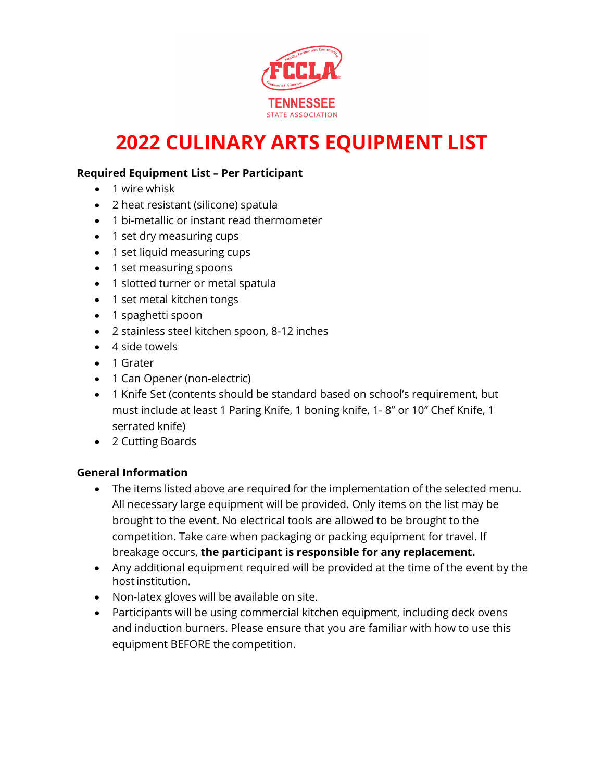

# **2022 CULINARY ARTS EQUIPMENT LIST**

### **Required Equipment List – Per Participant**

- 1 wire whisk
- 2 heat resistant (silicone) spatula
- 1 bi-metallic or instant read thermometer
- 1 set dry measuring cups
- 1 set liquid measuring cups
- 1 set measuring spoons
- 1 slotted turner or metal spatula
- 1 set metal kitchen tongs
- 1 spaghetti spoon
- 2 stainless steel kitchen spoon, 8-12 inches
- 4 side towels
- 1 Grater
- 1 Can Opener (non-electric)
- 1 Knife Set (contents should be standard based on school's requirement, but must include at least 1 Paring Knife, 1 boning knife, 1- 8" or 10" Chef Knife, 1 serrated knife)
- 2 Cutting Boards

#### **General Information**

- The items listed above are required for the implementation of the selected menu. All necessary large equipment will be provided. Only items on the list may be brought to the event. No electrical tools are allowed to be brought to the competition. Take care when packaging or packing equipment for travel. If breakage occurs, **the participant is responsible for any replacement.**
- Any additional equipment required will be provided at the time of the event by the hostinstitution.
- Non-latex gloves will be available on site.
- Participants will be using commercial kitchen equipment, including deck ovens and induction burners. Please ensure that you are familiar with how to use this equipment BEFORE the competition.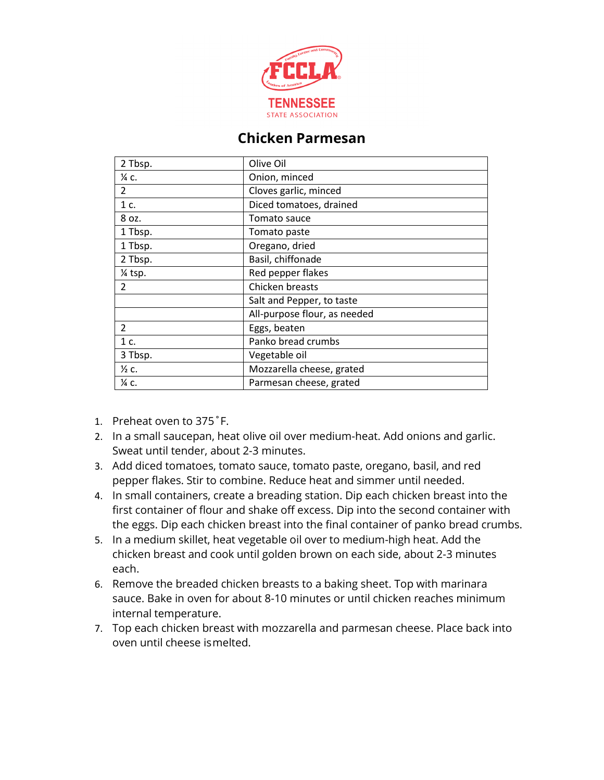

### **Chicken Parmesan**

| 2 Tbsp.          | Olive Oil                    |
|------------------|------------------------------|
| $\frac{1}{4}$ C. | Onion, minced                |
| $\mathcal{L}$    | Cloves garlic, minced        |
| 1 c.             | Diced tomatoes, drained      |
| 8 oz.            | Tomato sauce                 |
| 1 Tbsp.          | Tomato paste                 |
| 1 Tbsp.          | Oregano, dried               |
| 2 Tbsp.          | Basil, chiffonade            |
| $%$ tsp.         | Red pepper flakes            |
| $\mathcal{P}$    | Chicken breasts              |
|                  | Salt and Pepper, to taste    |
|                  | All-purpose flour, as needed |
| $\mathcal{P}$    | Eggs, beaten                 |
| 1 c.             | Panko bread crumbs           |
| 3 Tbsp.          | Vegetable oil                |
| $\frac{1}{2}$ c. | Mozzarella cheese, grated    |
| 1⁄4 C.           | Parmesan cheese, grated      |

- 1. Preheat oven to 375˚F.
- 2. In a small saucepan, heat olive oil over medium-heat. Add onions and garlic. Sweat until tender, about 2-3 minutes.
- 3. Add diced tomatoes, tomato sauce, tomato paste, oregano, basil, and red pepper flakes. Stir to combine. Reduce heat and simmer until needed.
- 4. In small containers, create a breading station. Dip each chicken breast into the first container of flour and shake off excess. Dip into the second container with the eggs. Dip each chicken breast into the final container of panko bread crumbs.
- 5. In a medium skillet, heat vegetable oil over to medium-high heat. Add the chicken breast and cook until golden brown on each side, about 2-3 minutes each.
- 6. Remove the breaded chicken breasts to a baking sheet. Top with marinara sauce. Bake in oven for about 8-10 minutes or until chicken reaches minimum internal temperature.
- 7. Top each chicken breast with mozzarella and parmesan cheese. Place back into oven until cheese ismelted.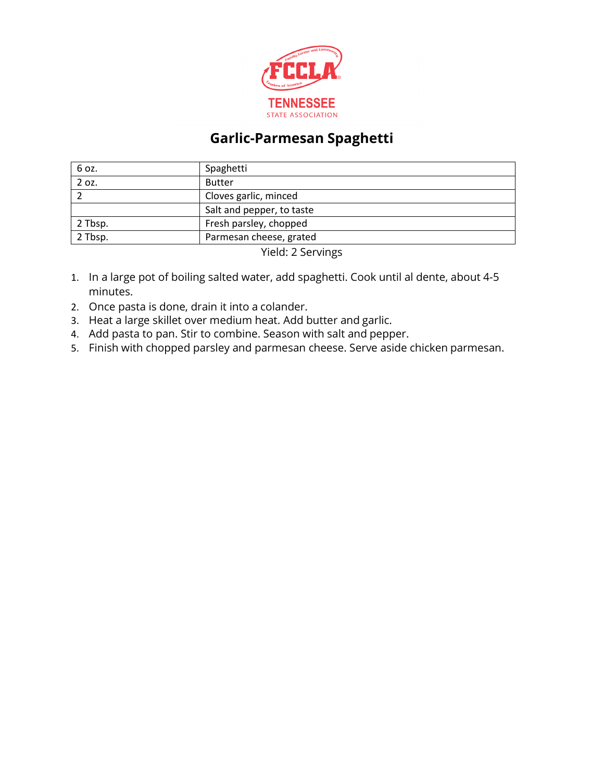

### **Garlic-Parmesan Spaghetti**

| 6 oz.   | Spaghetti                 |  |
|---------|---------------------------|--|
| 2 oz.   | <b>Butter</b>             |  |
|         | Cloves garlic, minced     |  |
|         | Salt and pepper, to taste |  |
| 2 Tbsp. | Fresh parsley, chopped    |  |
| 2 Tbsp. | Parmesan cheese, grated   |  |
|         |                           |  |

Yield: 2 Servings

- 1. In a large pot of boiling salted water, add spaghetti. Cook until al dente, about 4-5 minutes.
- 2. Once pasta is done, drain it into a colander.
- 3. Heat a large skillet over medium heat. Add butter and garlic.
- 4. Add pasta to pan. Stir to combine. Season with salt and pepper.
- 5. Finish with chopped parsley and parmesan cheese. Serve aside chicken parmesan.